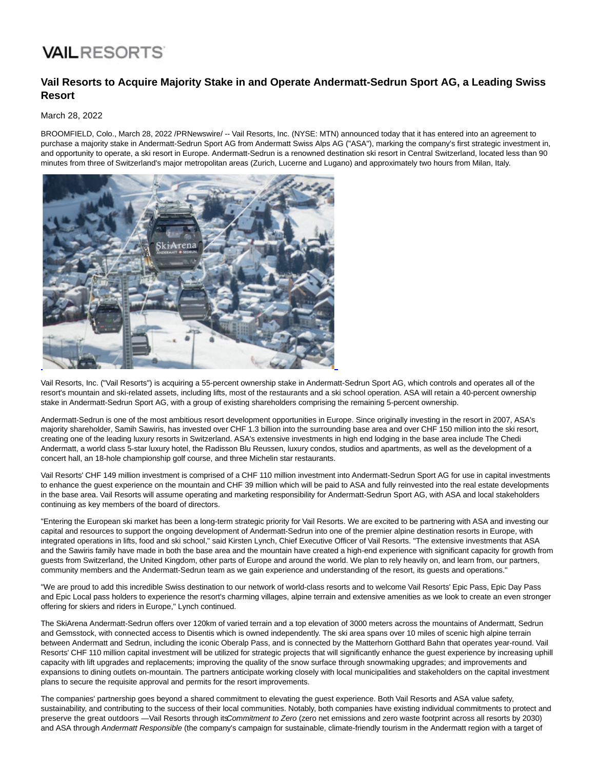# **VAIL RESORTS**

### **Vail Resorts to Acquire Majority Stake in and Operate Andermatt-Sedrun Sport AG, a Leading Swiss Resort**

#### March 28, 2022

BROOMFIELD, Colo., March 28, 2022 /PRNewswire/ -- Vail Resorts, Inc. (NYSE: MTN) announced today that it has entered into an agreement to purchase a majority stake in Andermatt-Sedrun Sport AG from Andermatt Swiss Alps AG ("ASA"), marking the company's first strategic investment in, and opportunity to operate, a ski resort in Europe. Andermatt-Sedrun is a renowned destination ski resort in Central Switzerland, located less than 90 minutes from three of Switzerland's major metropolitan areas (Zurich, Lucerne and Lugano) and approximately two hours from Milan, Italy.



Vail Resorts, Inc. ("Vail Resorts") is acquiring a 55-percent ownership stake in Andermatt-Sedrun Sport AG, which controls and operates all of the resort's mountain and ski-related assets, including lifts, most of the restaurants and a ski school operation. ASA will retain a 40-percent ownership stake in Andermatt-Sedrun Sport AG, with a group of existing shareholders comprising the remaining 5-percent ownership.

Andermatt-Sedrun is one of the most ambitious resort development opportunities in Europe. Since originally investing in the resort in 2007, ASA's majority shareholder, Samih Sawiris, has invested over CHF 1.3 billion into the surrounding base area and over CHF 150 million into the ski resort, creating one of the leading luxury resorts in Switzerland. ASA's extensive investments in high end lodging in the base area include The Chedi Andermatt, a world class 5-star luxury hotel, the Radisson Blu Reussen, luxury condos, studios and apartments, as well as the development of a concert hall, an 18-hole championship golf course, and three Michelin star restaurants.

Vail Resorts' CHF 149 million investment is comprised of a CHF 110 million investment into Andermatt-Sedrun Sport AG for use in capital investments to enhance the guest experience on the mountain and CHF 39 million which will be paid to ASA and fully reinvested into the real estate developments in the base area. Vail Resorts will assume operating and marketing responsibility for Andermatt-Sedrun Sport AG, with ASA and local stakeholders continuing as key members of the board of directors.

"Entering the European ski market has been a long-term strategic priority for Vail Resorts. We are excited to be partnering with ASA and investing our capital and resources to support the ongoing development of Andermatt-Sedrun into one of the premier alpine destination resorts in Europe, with integrated operations in lifts, food and ski school," said Kirsten Lynch, Chief Executive Officer of Vail Resorts. "The extensive investments that ASA and the Sawiris family have made in both the base area and the mountain have created a high-end experience with significant capacity for growth from guests from Switzerland, the United Kingdom, other parts of Europe and around the world. We plan to rely heavily on, and learn from, our partners, community members and the Andermatt-Sedrun team as we gain experience and understanding of the resort, its guests and operations."

"We are proud to add this incredible Swiss destination to our network of world-class resorts and to welcome Vail Resorts' Epic Pass, Epic Day Pass and Epic Local pass holders to experience the resort's charming villages, alpine terrain and extensive amenities as we look to create an even stronger offering for skiers and riders in Europe," Lynch continued.

The SkiArena Andermatt-Sedrun offers over 120km of varied terrain and a top elevation of 3000 meters across the mountains of Andermatt, Sedrun and Gemsstock, with connected access to Disentis which is owned independently. The ski area spans over 10 miles of scenic high alpine terrain between Andermatt and Sedrun, including the iconic Oberalp Pass, and is connected by the Matterhorn Gotthard Bahn that operates year-round. Vail Resorts' CHF 110 million capital investment will be utilized for strategic projects that will significantly enhance the guest experience by increasing uphill capacity with lift upgrades and replacements; improving the quality of the snow surface through snowmaking upgrades; and improvements and expansions to dining outlets on-mountain. The partners anticipate working closely with local municipalities and stakeholders on the capital investment plans to secure the requisite approval and permits for the resort improvements.

The companies' partnership goes beyond a shared commitment to elevating the guest experience. Both Vail Resorts and ASA value safety, sustainability, and contributing to the success of their local communities. Notably, both companies have existing individual commitments to protect and preserve the great outdoors -Vail Resorts through its Commitment to Zero (zero net emissions and zero waste footprint across all resorts by 2030) and ASA through Andermatt Responsible (the company's campaign for sustainable, climate-friendly tourism in the Andermatt region with a target of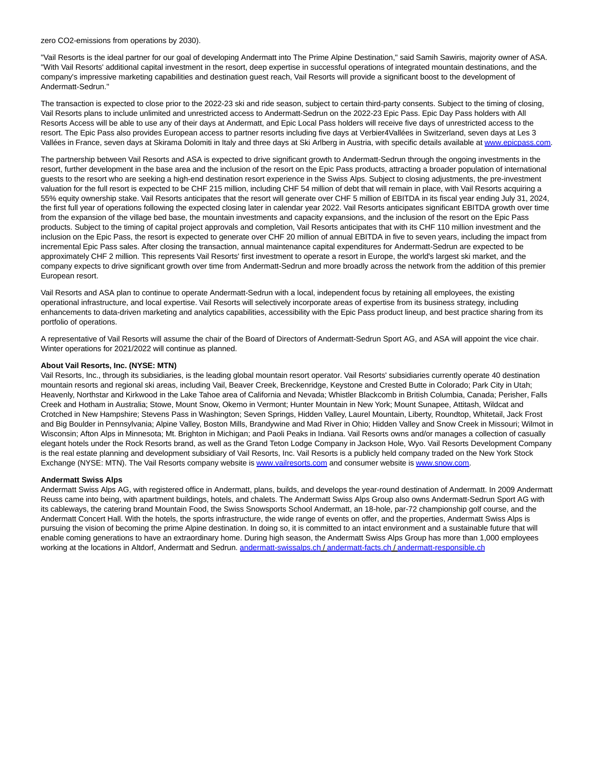zero CO2-emissions from operations by 2030).

"Vail Resorts is the ideal partner for our goal of developing Andermatt into The Prime Alpine Destination," said Samih Sawiris, majority owner of ASA. "With Vail Resorts' additional capital investment in the resort, deep expertise in successful operations of integrated mountain destinations, and the company's impressive marketing capabilities and destination guest reach, Vail Resorts will provide a significant boost to the development of Andermatt-Sedrun."

The transaction is expected to close prior to the 2022-23 ski and ride season, subject to certain third-party consents. Subject to the timing of closing, Vail Resorts plans to include unlimited and unrestricted access to Andermatt-Sedrun on the 2022-23 Epic Pass. Epic Day Pass holders with All Resorts Access will be able to use any of their days at Andermatt, and Epic Local Pass holders will receive five days of unrestricted access to the resort. The Epic Pass also provides European access to partner resorts including five days at Verbier4Vallées in Switzerland, seven days at Les 3 Vallées in France, seven days at Skirama Dolomiti in Italy and three days at Ski Arlberg in Austria, with specific details available at [www.epicpass.com.](https://c212.net/c/link/?t=0&l=en&o=3485578-1&h=2603580787&u=https%3A%2F%2Fwww.epicpass.com%2F&a=www.epicpass.com)

The partnership between Vail Resorts and ASA is expected to drive significant growth to Andermatt-Sedrun through the ongoing investments in the resort, further development in the base area and the inclusion of the resort on the Epic Pass products, attracting a broader population of international guests to the resort who are seeking a high-end destination resort experience in the Swiss Alps. Subject to closing adjustments, the pre-investment valuation for the full resort is expected to be CHF 215 million, including CHF 54 million of debt that will remain in place, with Vail Resorts acquiring a 55% equity ownership stake. Vail Resorts anticipates that the resort will generate over CHF 5 million of EBITDA in its fiscal year ending July 31, 2024, the first full year of operations following the expected closing later in calendar year 2022. Vail Resorts anticipates significant EBITDA growth over time from the expansion of the village bed base, the mountain investments and capacity expansions, and the inclusion of the resort on the Epic Pass products. Subject to the timing of capital project approvals and completion, Vail Resorts anticipates that with its CHF 110 million investment and the inclusion on the Epic Pass, the resort is expected to generate over CHF 20 million of annual EBITDA in five to seven years, including the impact from incremental Epic Pass sales. After closing the transaction, annual maintenance capital expenditures for Andermatt-Sedrun are expected to be approximately CHF 2 million. This represents Vail Resorts' first investment to operate a resort in Europe, the world's largest ski market, and the company expects to drive significant growth over time from Andermatt-Sedrun and more broadly across the network from the addition of this premier European resort.

Vail Resorts and ASA plan to continue to operate Andermatt-Sedrun with a local, independent focus by retaining all employees, the existing operational infrastructure, and local expertise. Vail Resorts will selectively incorporate areas of expertise from its business strategy, including enhancements to data-driven marketing and analytics capabilities, accessibility with the Epic Pass product lineup, and best practice sharing from its portfolio of operations.

A representative of Vail Resorts will assume the chair of the Board of Directors of Andermatt-Sedrun Sport AG, and ASA will appoint the vice chair. Winter operations for 2021/2022 will continue as planned.

#### **About Vail Resorts, Inc. (NYSE: MTN)**

Vail Resorts, Inc., through its subsidiaries, is the leading global mountain resort operator. Vail Resorts' subsidiaries currently operate 40 destination mountain resorts and regional ski areas, including Vail, Beaver Creek, Breckenridge, Keystone and Crested Butte in Colorado; Park City in Utah; Heavenly, Northstar and Kirkwood in the Lake Tahoe area of California and Nevada; Whistler Blackcomb in British Columbia, Canada; Perisher, Falls Creek and Hotham in Australia; Stowe, Mount Snow, Okemo in Vermont; Hunter Mountain in New York; Mount Sunapee, Attitash, Wildcat and Crotched in New Hampshire; Stevens Pass in Washington; Seven Springs, Hidden Valley, Laurel Mountain, Liberty, Roundtop, Whitetail, Jack Frost and Big Boulder in Pennsylvania; Alpine Valley, Boston Mills, Brandywine and Mad River in Ohio; Hidden Valley and Snow Creek in Missouri; Wilmot in Wisconsin; Afton Alps in Minnesota; Mt. Brighton in Michigan; and Paoli Peaks in Indiana. Vail Resorts owns and/or manages a collection of casually elegant hotels under the Rock Resorts brand, as well as the Grand Teton Lodge Company in Jackson Hole, Wyo. Vail Resorts Development Company is the real estate planning and development subsidiary of Vail Resorts, Inc. Vail Resorts is a publicly held company traded on the New York Stock Exchange (NYSE: MTN). The Vail Resorts company website is [www.vailresorts.com a](https://c212.net/c/link/?t=0&l=en&o=3485578-1&h=3475156557&u=http%3A%2F%2Fwww.vailresorts.com%2F&a=www.vailresorts.com)nd consumer website i[s www.snow.com.](https://c212.net/c/link/?t=0&l=en&o=3485578-1&h=2541904888&u=https%3A%2F%2Fc212.net%2Fc%2Flink%2F%3Ft%3D0%26l%3Den%26o%3D3384024-1%26h%3D120227301%26u%3Dhttp%253A%252F%252Fwww.snow.com%252F%26a%3Dwww.snow.com&a=www.snow.com)

#### **Andermatt Swiss Alps**

Andermatt Swiss Alps AG, with registered office in Andermatt, plans, builds, and develops the year-round destination of Andermatt. In 2009 Andermatt Reuss came into being, with apartment buildings, hotels, and chalets. The Andermatt Swiss Alps Group also owns Andermatt-Sedrun Sport AG with its cableways, the catering brand Mountain Food, the Swiss Snowsports School Andermatt, an 18-hole, par-72 championship golf course, and the Andermatt Concert Hall. With the hotels, the sports infrastructure, the wide range of events on offer, and the properties, Andermatt Swiss Alps is pursuing the vision of becoming the prime Alpine destination. In doing so, it is committed to an intact environment and a sustainable future that will enable coming generations to have an extraordinary home. During high season, the Andermatt Swiss Alps Group has more than 1,000 employees working at the locations in Altdorf, Andermatt and Sedrun. [andermatt-swissalps.ch /](https://c212.net/c/link/?t=0&l=en&o=3485578-1&h=1361755225&u=http%3A%2F%2Fwww.andermatt-swissalps.ch%2F&a=andermatt-swissalps.ch) [andermatt-facts.ch /](https://c212.net/c/link/?t=0&l=en&o=3485578-1&h=476286254&u=http%3A%2F%2Fwww.andermatt-facts.ch%2F&a=andermatt-facts.ch) [andermatt-responsible.ch](https://c212.net/c/link/?t=0&l=en&o=3485578-1&h=1234314662&u=https%3A%2F%2Fwww.andermatt-swissalps.ch%2Fde%2Fportraet%2Fandermatt-responsible&a=andermatt-responsible.ch)